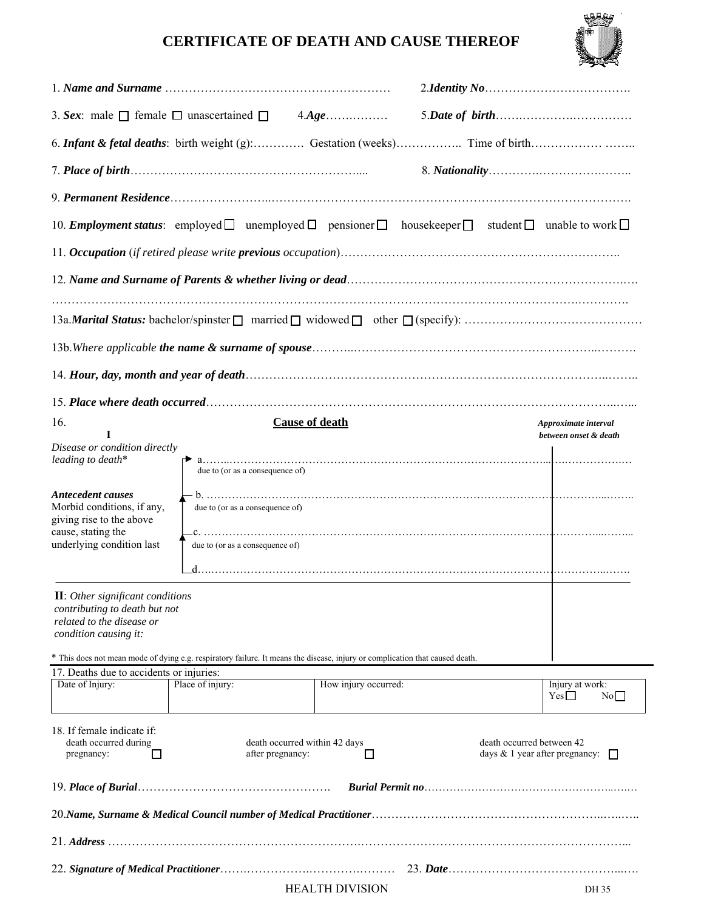## **CERTIFICATE OF DEATH AND CAUSE THEREOF**



| 10. <b>Employment status</b> : employed $\Box$ unemployed $\Box$ pensioner $\Box$ housekeeper $\Box$                                                                                                                                                            |                  |                        |  | student $\Box$ unable to work $\Box$          |  |
|-----------------------------------------------------------------------------------------------------------------------------------------------------------------------------------------------------------------------------------------------------------------|------------------|------------------------|--|-----------------------------------------------|--|
|                                                                                                                                                                                                                                                                 |                  |                        |  |                                               |  |
|                                                                                                                                                                                                                                                                 |                  |                        |  |                                               |  |
|                                                                                                                                                                                                                                                                 |                  |                        |  |                                               |  |
|                                                                                                                                                                                                                                                                 |                  |                        |  |                                               |  |
|                                                                                                                                                                                                                                                                 |                  |                        |  |                                               |  |
|                                                                                                                                                                                                                                                                 |                  |                        |  |                                               |  |
| 16.<br>I                                                                                                                                                                                                                                                        |                  | <b>Cause of death</b>  |  | Approximate interval<br>between onset & death |  |
| Disease or condition directly<br>leading to death*                                                                                                                                                                                                              |                  |                        |  |                                               |  |
| <b>Antecedent causes</b><br>Morbid conditions, if any,<br>due to (or as a consequence of)<br>giving rise to the above<br>cause, stating the<br>underlying condition last<br>due to (or as a consequence of)                                                     |                  |                        |  |                                               |  |
| <b>II</b> : Other significant conditions<br>contributing to death but not<br>related to the disease or<br>condition causing it:<br>* This does not mean mode of dying e.g. respiratory failure. It means the disease, injury or complication that caused death. |                  |                        |  |                                               |  |
| 17. Deaths due to accidents or injuries:                                                                                                                                                                                                                        |                  |                        |  |                                               |  |
| Date of Injury:                                                                                                                                                                                                                                                 | Place of injury: | How injury occurred:   |  | Injury at work:<br>$Yes \Box$<br>No           |  |
| 18. If female indicate if:<br>death occurred during<br>death occurred within 42 days<br>death occurred between 42<br>after pregnancy:<br>days $\&$ 1 year after pregnancy: $\Box$<br>□<br>□<br>pregnancy:                                                       |                  |                        |  |                                               |  |
|                                                                                                                                                                                                                                                                 |                  |                        |  |                                               |  |
|                                                                                                                                                                                                                                                                 |                  |                        |  |                                               |  |
|                                                                                                                                                                                                                                                                 |                  |                        |  |                                               |  |
|                                                                                                                                                                                                                                                                 |                  |                        |  |                                               |  |
|                                                                                                                                                                                                                                                                 |                  | <b>HEALTH DIVISION</b> |  | DH 35                                         |  |